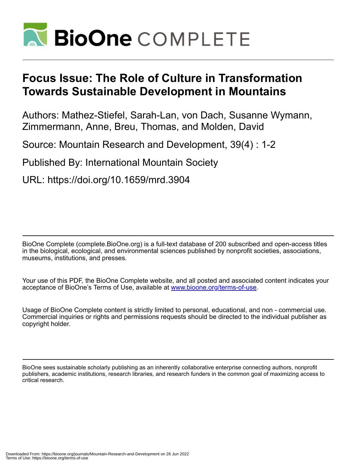

# **Focus Issue: The Role of Culture in Transformation Towards Sustainable Development in Mountains**

Authors: Mathez-Stiefel, Sarah-Lan, von Dach, Susanne Wymann, Zimmermann, Anne, Breu, Thomas, and Molden, David

Source: Mountain Research and Development, 39(4) : 1-2

Published By: International Mountain Society

URL: https://doi.org/10.1659/mrd.3904

BioOne Complete (complete.BioOne.org) is a full-text database of 200 subscribed and open-access titles in the biological, ecological, and environmental sciences published by nonprofit societies, associations, museums, institutions, and presses.

Your use of this PDF, the BioOne Complete website, and all posted and associated content indicates your acceptance of BioOne's Terms of Use, available at www.bioone.org/terms-of-use.

Usage of BioOne Complete content is strictly limited to personal, educational, and non - commercial use. Commercial inquiries or rights and permissions requests should be directed to the individual publisher as copyright holder.

BioOne sees sustainable scholarly publishing as an inherently collaborative enterprise connecting authors, nonprofit publishers, academic institutions, research libraries, and research funders in the common goal of maximizing access to critical research.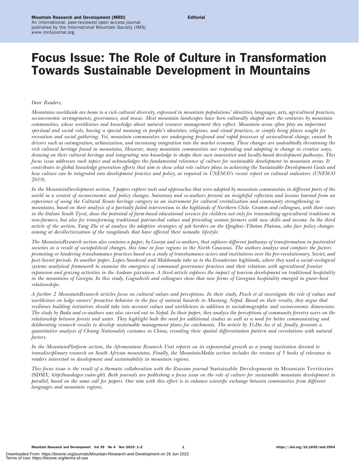# Focus Issue: The Role of Culture in Transformation Towards Sustainable Development in Mountains

## Dear Readers,

Mountains worldwide are home to a rich cultural diversity, expressed in mountain populations' identities, languages, arts, agricultural practices, socioeconomic arrangements, governance, and music. Most mountain landscapes have been culturally shaped over the centuries by mountain communities, whose worldviews and knowledge about natural resource management they reflect. Mountain areas often play an important spiritual and social role, having a special meaning in people's identities, religions, and ritual practices, or simply being places sought for recreation and social gathering. Yet, mountain communities are undergoing profound and rapid processes of sociocultural change, caused by drivers such as outmigration, urbanization, and increasing integration into the market economy. These changes are undoubtedly threatening the rich cultural heritage found in mountains. However, many mountain communities are responding and adapting to change in creative ways, drawing on their cultural heritage and integrating new knowledge to shape their own innovative and locally-based development pathways. This focus issue addresses such topics and acknowledges the fundamental relevance of culture for sustainable development in mountain areas. It contributes to global knowledge generation efforts that aim to show what role culture plays in achieving the Sustainable Development Goals and how culture can be integrated into development practice and policy, as required in UNESCO's recent report on cultural indicators (UNESCO 2019).

In the MountainDevelopment section, 3 papers explore tools and approaches that were adopted by mountain communities in different parts of the world in a context of socioeconomic and policy changes. Saintenoy and co-authors present an insightful reflection and lessons learned from an experience of using the Cultural Route heritage category as an instrument for cultural revitalization and community strengthening in mountains, based on their analysis of a partially failed intervention in the highlands of Northern Chile. Gramm and colleagues, with their cases in the Italian South Tyrol, show the potential of farm-based educational services for children not only for transmitting agricultural traditions to non-farmers, but also for transforming traditional patriarchal values and providing women farmers with new skills and income. In the third article of the section, Yang Zhe et al analyze the adaptive strategies of yak herders on the Qinghai–Tibetan Plateau, who face policy changes aiming at decollectivization of the rangelands that have affected their nomadic lifestyle.

The MountainResearch section also contains a paper, by Gunya and co-authors, that explores different pathways of transformation in pastoralist societies as a result of sociopolitical changes, this time in four regions in the North Caucasus. The authors analyze and compare the factors promoting or hindering transhumance practices based on a study of transhumance actors and institutions over the pre-revolutionary, Soviet, and post-Soviet periods. In another paper, Lopez-Sandoval and Maldonado take us to the Ecuadorian highlands, where they used a social–ecological systems analytical framework to examine the emergence of communal governance practices and their relations with agricultural frontier expansion and grazing activities in the Andean páramos. A third article explores the impact of tourism development on traditional hospitality in the mountains of Georgia. In this study, Gugushvili and colleagues show that new forms of Georgian hospitality emerged in guest–host relationships.

A further 2 MountainResearch articles focus on cultural values and perceptions. In their study, Posch et al investigate the role of values and worldviews on lodge owners' proactive behavior in the face of natural hazards in Mustang, Nepal. Based on their results, they argue that resilience building initiatives should take into account values and worldviews in addition to sociodemographic and socioeconomic dimensions. The study by Badu and co-authors was also carried out in Nepal. In their paper, they analyze the perceptions of community forestry users on the relationship between forests and water. They highlight both the need for additional studies as well as a need for better communicating and deliberating research results to develop sustainable management plans for catchments. The article by Yi-Da An et al, finally, presents a quantitative analysis of Chiang Nationality costumes in China, revealing their spatial differentiation pattern and correlations with natural factors.

In the MountainPlatform section, the Afromontane Research Unit reports on its exponential growth as a young institution devoted to transdisciplinary research on South African mountains. Finally, the MountainMedia section includes the reviews of 5 books of relevance to readers interested in development and sustainability in mountain regions.

This focus issue is the result of a thematic collaboration with the Russian journal Sustainable Development in Mountain Territories (SDMT;<http://naukagor.ru/en-gb/>). Both journals are publishing a focus issue on the role of culture for sustainable mountain development in parallel, based on the same call for papers. Our aim with this effort is to enhance scientific exchange between communities from different languages and mountain regions.